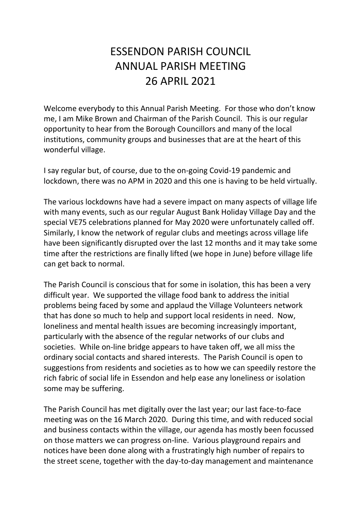## ESSENDON PARISH COUNCIL ANNUAL PARISH MEETING 26 APRIL 2021

Welcome everybody to this Annual Parish Meeting. For those who don't know me, I am Mike Brown and Chairman of the Parish Council. This is our regular opportunity to hear from the Borough Councillors and many of the local institutions, community groups and businesses that are at the heart of this wonderful village.

I say regular but, of course, due to the on-going Covid-19 pandemic and lockdown, there was no APM in 2020 and this one is having to be held virtually.

The various lockdowns have had a severe impact on many aspects of village life with many events, such as our regular August Bank Holiday Village Day and the special VE75 celebrations planned for May 2020 were unfortunately called off. Similarly, I know the network of regular clubs and meetings across village life have been significantly disrupted over the last 12 months and it may take some time after the restrictions are finally lifted (we hope in June) before village life can get back to normal.

The Parish Council is conscious that for some in isolation, this has been a very difficult year. We supported the village food bank to address the initial problems being faced by some and applaud the Village Volunteers network that has done so much to help and support local residents in need. Now, loneliness and mental health issues are becoming increasingly important, particularly with the absence of the regular networks of our clubs and societies. While on-line bridge appears to have taken off, we all miss the ordinary social contacts and shared interests. The Parish Council is open to suggestions from residents and societies as to how we can speedily restore the rich fabric of social life in Essendon and help ease any loneliness or isolation some may be suffering.

The Parish Council has met digitally over the last year; our last face-to-face meeting was on the 16 March 2020. During this time, and with reduced social and business contacts within the village, our agenda has mostly been focussed on those matters we can progress on-line. Various playground repairs and notices have been done along with a frustratingly high number of repairs to the street scene, together with the day-to-day management and maintenance